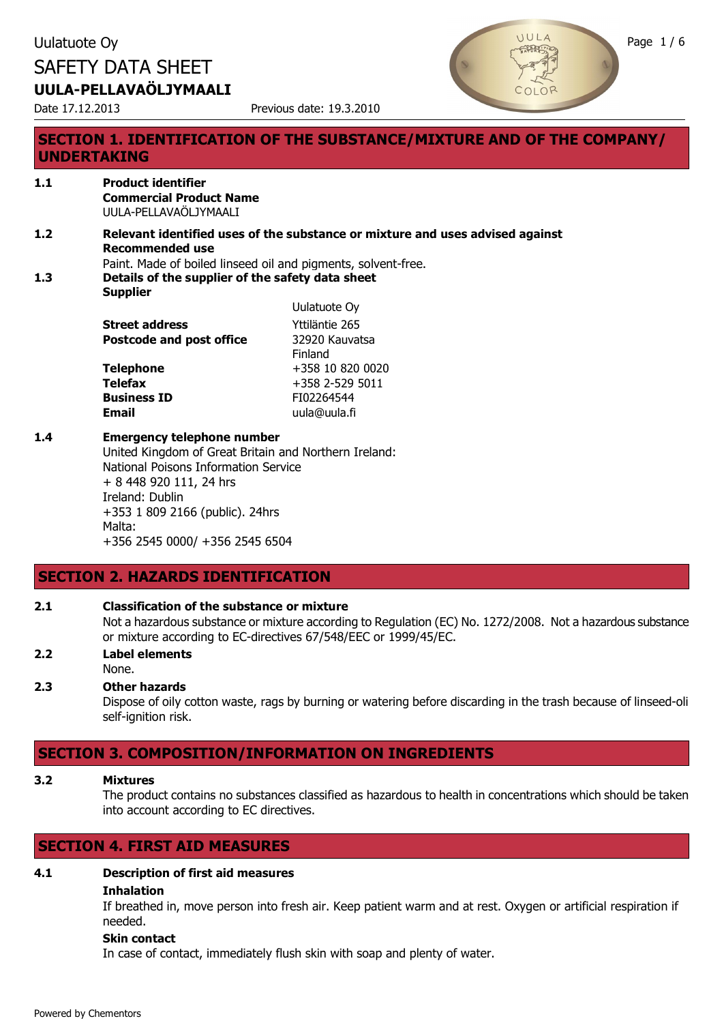



# **SECTION 1. IDENTIFICATION OF THE SUBSTANCE/MIXTURE AND OF THE COMPANY/ UNDERTAKING**

#### **1.1 Product identifier Commercial Product Name** UULA-PELLAVAÖLJYMAALI

**1.2 Relevant identified uses of the substance or mixture and uses advised against Recommended use** Paint. Made of boiled linseed oil and pigments, solvent-free.

Uulatuote Oy

**1.3 Details of the supplier of the safety data sheet**

**Supplier**

|                                 | <b>UUIQLUULE UY</b> |
|---------------------------------|---------------------|
| <b>Street address</b>           | Yttiläntie 265      |
| <b>Postcode and post office</b> | 32920 Kauvatsa      |
|                                 | Finland             |
| <b>Telephone</b>                | +358 10 820 0020    |
| <b>Telefax</b>                  | $+358$ 2-529 5011   |
| <b>Business ID</b>              | FI02264544          |
| <b>Email</b>                    | uula@uula.fi        |
|                                 |                     |

#### **1.4 Emergency telephone number**

United Kingdom of Great Britain and Northern Ireland: National Poisons Information Service + 8 448 920 111, 24 hrs Ireland: Dublin +353 1 809 2166 (public). 24hrs Malta: +356 2545 0000/ +356 2545 6504

# **SECTION 2. HAZARDS IDENTIFICATION**

#### **2.1 Classification of the substance or mixture**

Not a hazardous substance or mixture according to Regulation (EC) No. 1272/2008. Not a hazardous substance or mixture according to EC-directives 67/548/EEC or 1999/45/EC.

**2.2 Label elements** None.

#### **2.3 Other hazards**

Dispose of oily cotton waste, rags by burning or watering before discarding in the trash because of linseed-oli self-ignition risk.

# **SECTION 3. COMPOSITION/INFORMATION ON INGREDIENTS**

#### **3.2 Mixtures**

The product contains no substances classified as hazardous to health in concentrations which should be taken into account according to EC directives.

# **SECTION 4. FIRST AID MEASURES**

# **4.1 Description of first aid measures**

# **Inhalation**

If breathed in, move person into fresh air. Keep patient warm and at rest. Oxygen or artificial respiration if needed.

#### **Skin contact**

In case of contact, immediately flush skin with soap and plenty of water.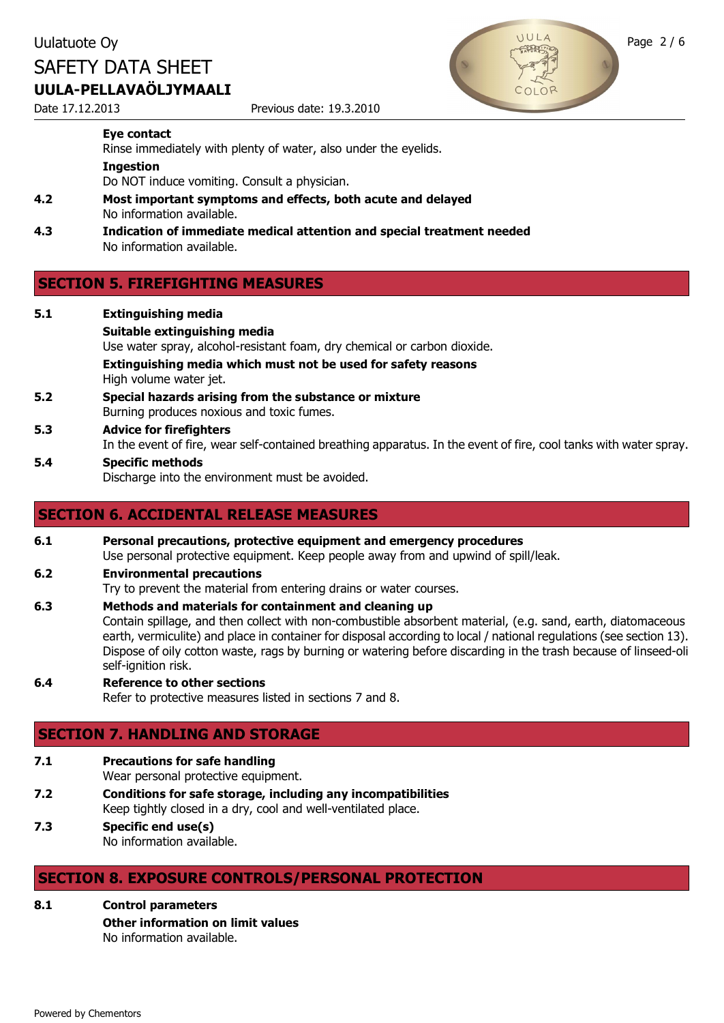Date 17.12.2013 Previous date: 19.3.2010



#### **Eye contact**

Rinse immediately with plenty of water, also under the eyelids.

#### **Ingestion**

Do NOT induce vomiting. Consult a physician.

- **4.2 Most important symptoms and effects, both acute and delayed** No information available.
- **4.3 Indication of immediate medical attention and special treatment needed** No information available.

# **SECTION 5. FIREFIGHTING MEASURES**

**5.1 Extinguishing media Suitable extinguishing media** Use water spray, alcohol-resistant foam, dry chemical or carbon dioxide. **Extinguishing media which must not be used for safety reasons** High volume water jet. **5.2 Special hazards arising from the substance or mixture** Burning produces noxious and toxic fumes. **5.3 Advice for firefighters** In the event of fire, wear self-contained breathing apparatus. In the event of fire, cool tanks with water spray. **5.4 Specific methods** Discharge into the environment must be avoided.

### **SECTION 6. ACCIDENTAL RELEASE MEASURES**

# **6.1 Personal precautions, protective equipment and emergency procedures**

Use personal protective equipment. Keep people away from and upwind of spill/leak.

**6.2 Environmental precautions**

Try to prevent the material from entering drains or water courses.

- **6.3 Methods and materials for containment and cleaning up** Contain spillage, and then collect with non-combustible absorbent material, (e.g. sand, earth, diatomaceous earth, vermiculite) and place in container for disposal according to local / national regulations (see section 13). Dispose of oily cotton waste, rags by burning or watering before discarding in the trash because of linseed-oli self-ignition risk.
- **6.4 Reference to other sections** Refer to protective measures listed in sections 7 and 8.

# **SECTION 7. HANDLING AND STORAGE**

**7.1 Precautions for safe handling**

Wear personal protective equipment.

- **7.2 Conditions for safe storage, including any incompatibilities** Keep tightly closed in a dry, cool and well-ventilated place.
- **7.3 Specific end use(s)** No information available.

# **SECTION 8. EXPOSURE CONTROLS/PERSONAL PROTECTION**

- **8.1 Control parameters**
	- **Other information on limit values**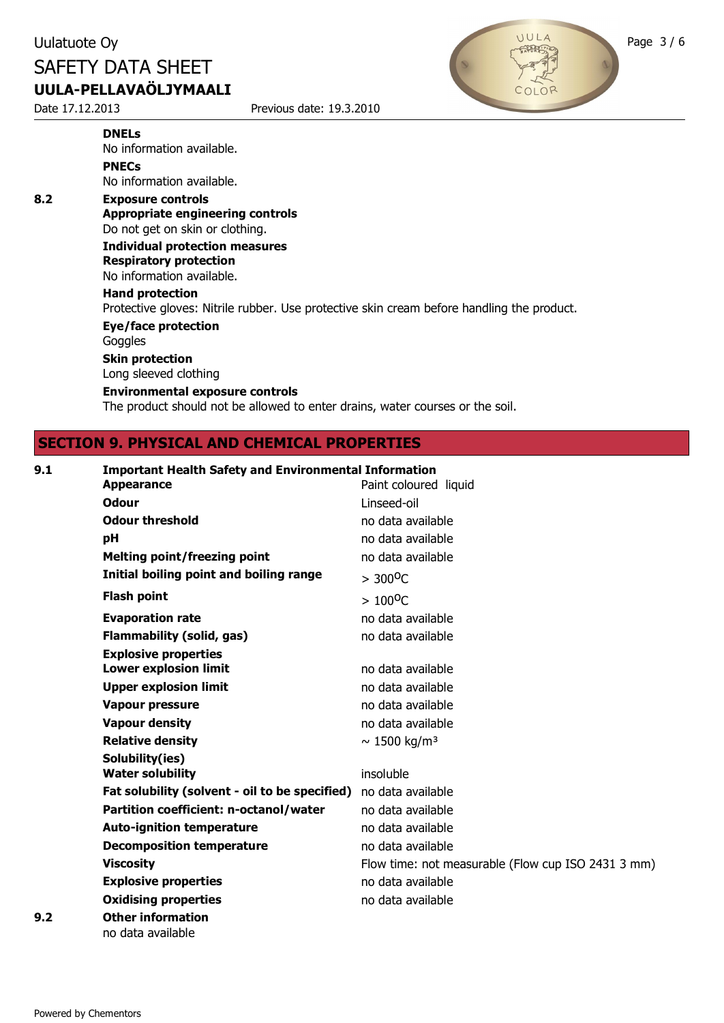Date 17.12.2013 Previous date: 19.3.2010



#### **DNELs**

No information available. **PNECs**

No information available.

**8.2 Exposure controls Appropriate engineering controls** Do not get on skin or clothing. **Individual protection measures Respiratory protection** No information available. **Hand protection** Protective gloves: Nitrile rubber. Use protective skin cream before handling the product. **Eye/face protection Goggles Skin protection** Long sleeved clothing **Environmental exposure controls**

The product should not be allowed to enter drains, water courses or the soil.

# **SECTION 9. PHYSICAL AND CHEMICAL PROPERTIES**

| 9.1 | <b>Important Health Safety and Environmental Information</b> |                                                    |
|-----|--------------------------------------------------------------|----------------------------------------------------|
|     | <b>Appearance</b>                                            | Paint coloured liquid                              |
|     | <b>Odour</b>                                                 | Linseed-oil                                        |
|     | <b>Odour threshold</b>                                       | no data available                                  |
|     | pH                                                           | no data available                                  |
|     | Melting point/freezing point                                 | no data available                                  |
|     | Initial boiling point and boiling range                      | $> 300^{\circ}C$                                   |
|     | <b>Flash point</b>                                           | $> 100^{\circ}C$                                   |
|     | <b>Evaporation rate</b>                                      | no data available                                  |
|     | <b>Flammability (solid, gas)</b>                             | no data available                                  |
|     | <b>Explosive properties</b>                                  |                                                    |
|     | <b>Lower explosion limit</b>                                 | no data available                                  |
|     | <b>Upper explosion limit</b>                                 | no data available                                  |
|     | <b>Vapour pressure</b>                                       | no data available                                  |
|     | <b>Vapour density</b>                                        | no data available                                  |
|     | <b>Relative density</b>                                      | $\sim 1500 \text{ kg/m}^3$                         |
|     | Solubility(ies)                                              |                                                    |
|     | <b>Water solubility</b>                                      | insoluble                                          |
|     | Fat solubility (solvent - oil to be specified)               | no data available                                  |
|     | Partition coefficient: n-octanol/water                       | no data available                                  |
|     | <b>Auto-ignition temperature</b>                             | no data available                                  |
|     | <b>Decomposition temperature</b>                             | no data available                                  |
|     | <b>Viscosity</b>                                             | Flow time: not measurable (Flow cup ISO 2431 3 mm) |
|     | <b>Explosive properties</b>                                  | no data available                                  |
|     | <b>Oxidising properties</b>                                  | no data available                                  |
| 9.2 | <b>Other information</b>                                     |                                                    |
|     | no data available                                            |                                                    |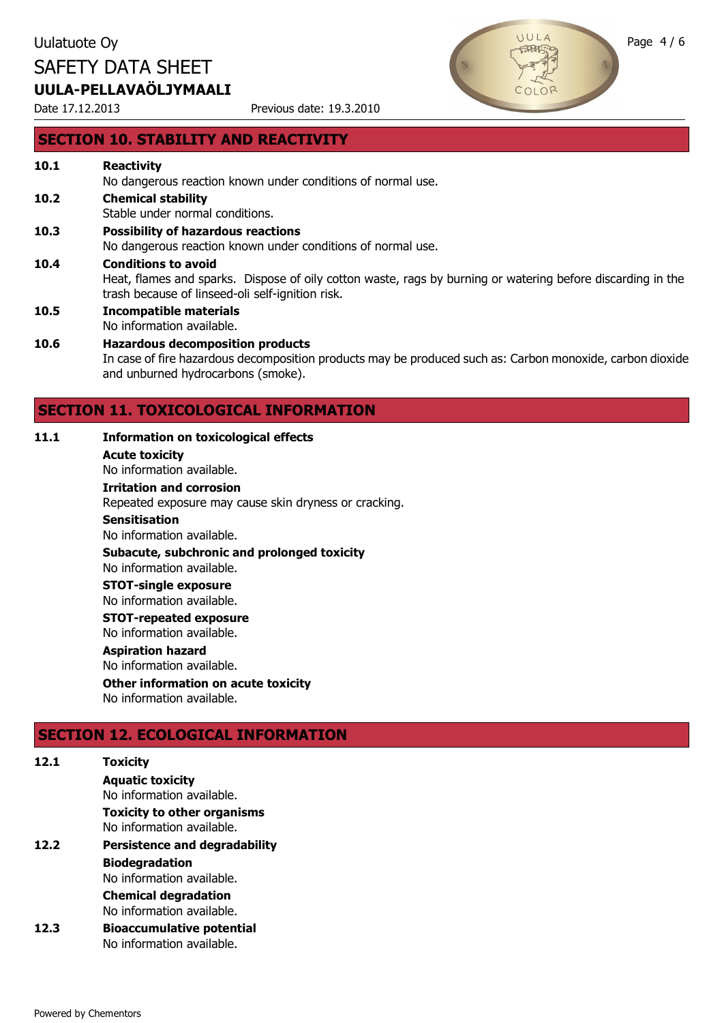Date 17.12.2013 Previous date: 19.3.2010



#### **SECTION 10. STABILITY AND REACTIVITY**

# **10.1 Reactivity**

No dangerous reaction known under conditions of normal use.

- **10.2 Chemical stability**
- Stable under normal conditions.
- **10.3 Possibility of hazardous reactions** No dangerous reaction known under conditions of normal use. **10.4 Conditions to avoid** Heat, flames and sparks. Dispose of oily cotton waste, rags by burning or watering before discarding in the trash because of linseed-oli self-ignition risk.
- **10.5 Incompatible materials** No information available.

#### **10.6 Hazardous decomposition products** In case of fire hazardous decomposition products may be produced such as: Carbon monoxide, carbon dioxide and unburned hydrocarbons (smoke).

# **SECTION 11. TOXICOLOGICAL INFORMATION**

#### **11.1 Information on toxicological effects**

**Acute toxicity**

No information available.

#### **Irritation and corrosion**

Repeated exposure may cause skin dryness or cracking.

#### **Sensitisation**

No information available.

**Subacute, subchronic and prolonged toxicity**

#### No information available. **STOT-single exposure**

No information available.

**STOT-repeated exposure**

No information available.

#### **Aspiration hazard**

No information available.

# **Other information on acute toxicity**

No information available.

# **SECTION 12. ECOLOGICAL INFORMATION**

| 12.1 | <b>Toxicity</b>                      |
|------|--------------------------------------|
|      | <b>Aquatic toxicity</b>              |
|      | No information available.            |
|      | <b>Toxicity to other organisms</b>   |
|      | No information available.            |
| 12.2 | <b>Persistence and degradability</b> |
|      | <b>Biodegradation</b>                |
|      | No information available.            |
|      | <b>Chemical degradation</b>          |
|      | No information available.            |
| 12.3 | <b>Bioaccumulative potential</b>     |
|      | No information available.            |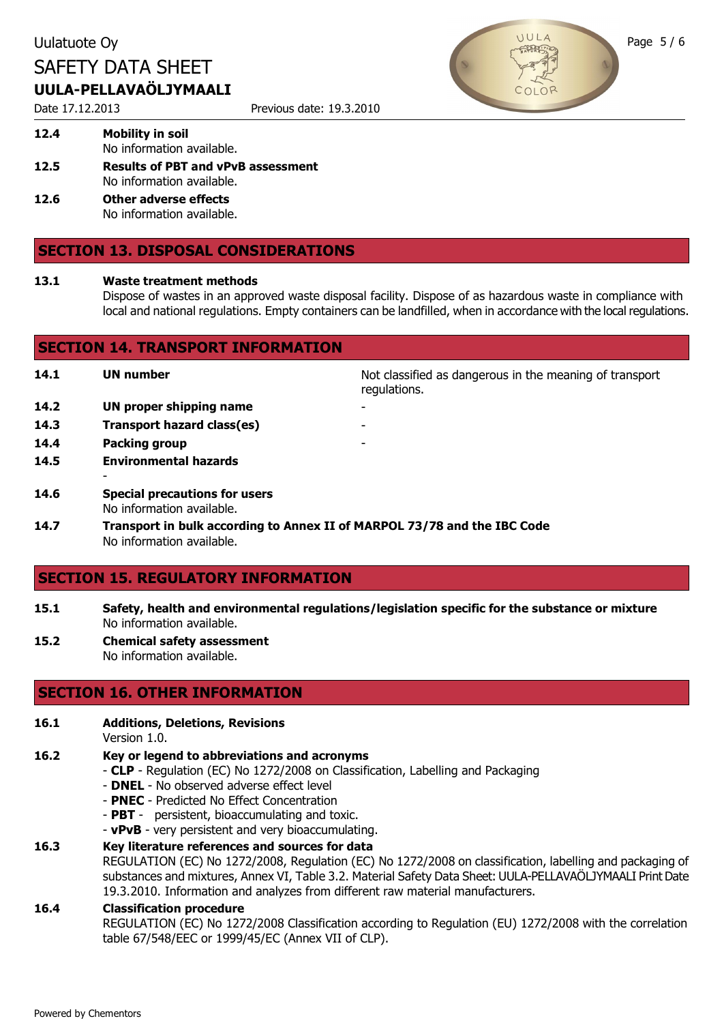Date 17.12.2013 Previous date: 19.3.2010



**12.4 Mobility in soil** No information available.

- **12.5 Results of PBT and vPvB assessment** No information available.
- **12.6 Other adverse effects** No information available.

# **SECTION 13. DISPOSAL CONSIDERATIONS**

#### **13.1 Waste treatment methods**

Dispose of wastes in an approved waste disposal facility. Dispose of as hazardous waste in compliance with local and national regulations. Empty containers can be landfilled, when in accordance with the local regulations.

| <b>SECTION 14. TRANSPORT INFORMATION</b> |                                                                          |                                                                         |  |
|------------------------------------------|--------------------------------------------------------------------------|-------------------------------------------------------------------------|--|
| 14.1                                     | <b>UN number</b>                                                         | Not classified as dangerous in the meaning of transport<br>regulations. |  |
| 14.2                                     | UN proper shipping name                                                  |                                                                         |  |
| 14.3                                     | Transport hazard class(es)                                               |                                                                         |  |
| 14.4                                     | Packing group                                                            | ۰                                                                       |  |
| 14.5                                     | <b>Environmental hazards</b>                                             |                                                                         |  |
|                                          |                                                                          |                                                                         |  |
| 14.6                                     | <b>Special precautions for users</b><br>No information available.        |                                                                         |  |
| 14.7                                     | Transport in bulk according to Annex II of MARPOL 73/78 and the IBC Code |                                                                         |  |

No information available.

#### **SECTION 15. REGULATORY INFORMATION**

- **15.1 Safety, health and environmental regulations/legislation specific for the substance or mixture** No information available.
- **15.2 Chemical safety assessment** No information available.

# **SECTION 16. OTHER INFORMATION**

- **16.1 Additions, Deletions, Revisions**
	- Version 1.0.
- **16.2 Key or legend to abbreviations and acronyms**
	- **CLP** Regulation (EC) No 1272/2008 on Classification, Labelling and Packaging
	- **DNEL**  No observed adverse effect level
	- **PNEC**  Predicted No Effect Concentration
	- **PBT**  persistent, bioaccumulating and toxic.
	- **vPvB**  very persistent and very bioaccumulating.

#### **16.3 Key literature references and sources for data**

REGULATION (EC) No 1272/2008, Regulation (EC) No 1272/2008 on classification, labelling and packaging of substances and mixtures, Annex VI, Table 3.2. Material Safety Data Sheet: UULA-PELLAVAÖLJYMAALI Print Date 19.3.2010. Information and analyzes from different raw material manufacturers.

#### **16.4 Classification procedure**

REGULATION (EC) No 1272/2008 Classification according to Regulation (EU) 1272/2008 with the correlation table 67/548/EEC or 1999/45/EC (Annex VII of CLP).